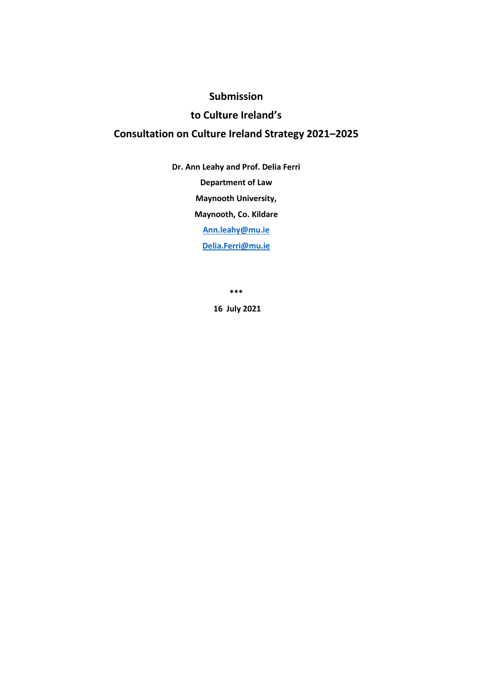## **Submission**

## **to Culture Ireland's**

# **Consultation on Culture Ireland Strategy 2021–2025**

**Dr. Ann Leahy and Prof. Delia Ferri Department of Law Maynooth University, Maynooth, Co. Kildare [Ann.leahy@mu.ie](mailto:Ann.leahy@mu.ie)  [Delia.Ferri@mu.ie](mailto:Delia.Ferri@mu.ie)**

**\*\*\***

**16 July 2021**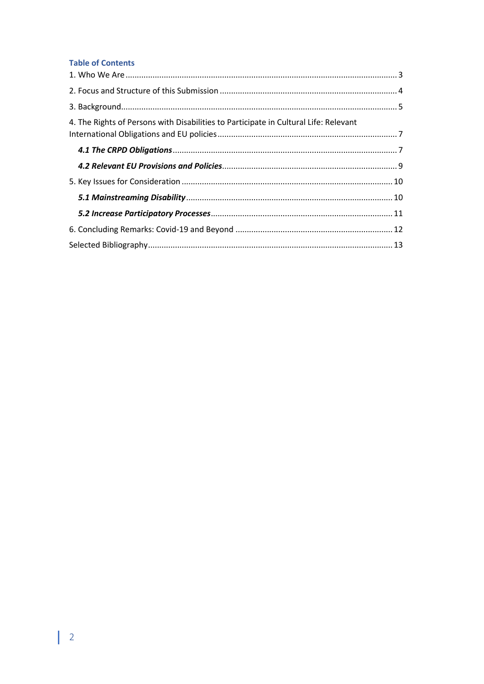## **Table of Contents**

| 4. The Rights of Persons with Disabilities to Participate in Cultural Life: Relevant |  |
|--------------------------------------------------------------------------------------|--|
|                                                                                      |  |
|                                                                                      |  |
|                                                                                      |  |
|                                                                                      |  |
|                                                                                      |  |
|                                                                                      |  |
|                                                                                      |  |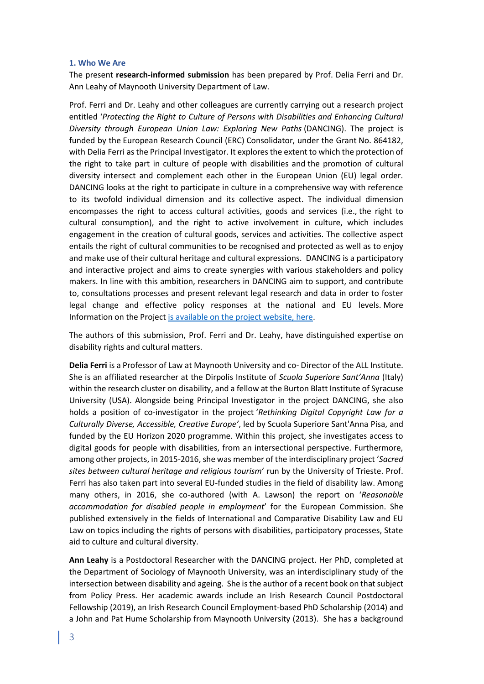#### <span id="page-2-0"></span>**1. Who We Are**

The present **research-informed submission** has been prepared by Prof. Delia Ferri and Dr. Ann Leahy of Maynooth University Department of Law.

Prof. Ferri and Dr. Leahy and other colleagues are currently carrying out a research project entitled '*Protecting the Right to Culture of Persons with Disabilities and Enhancing Cultural Diversity through European Union Law: Exploring New Paths* (DANCING). The project is funded by the European Research Council (ERC) Consolidator, under the Grant No. 864182, with Delia Ferri as the Principal Investigator. It explores the extent to which the protection of the right to take part in culture of people with disabilities and the promotion of cultural diversity intersect and complement each other in the European Union (EU) legal order. DANCING looks at the right to participate in culture in a comprehensive way with reference to its twofold individual dimension and its collective aspect. The individual dimension encompasses the right to access cultural activities, goods and services (i.e., the right to cultural consumption), and the right to active involvement in culture, which includes engagement in the creation of cultural goods, services and activities. The collective aspect entails the right of cultural communities to be recognised and protected as well as to enjoy and make use of their cultural heritage and cultural expressions. DANCING is a participatory and interactive project and aims to create synergies with various stakeholders and policy makers. In line with this ambition, researchers in DANCING aim to support, and contribute to, consultations processes and present relevant legal research and data in order to foster legal change and effective policy responses at the national and EU levels. More Information on the Projec[t is available on the project website, here.](https://ercdancing.maynoothuniversity.ie/)

The authors of this submission, Prof. Ferri and Dr. Leahy, have distinguished expertise on disability rights and cultural matters.

**Delia Ferri** is a Professor of Law at Maynooth University and co- Director of the ALL Institute. She is an affiliated researcher at the Dirpolis Institute of *Scuola Superiore Sant'Anna* (Italy) within the research cluster on disability, and a fellow at the Burton Blatt Institute of Syracuse University (USA). Alongside being Principal Investigator in the project DANCING, she also holds a position of co-investigator in the project '*Rethinking Digital Copyright Law for a Culturally Diverse, Accessible, Creative Europe'*, led by Scuola Superiore Sant'Anna Pisa, and funded by the EU Horizon 2020 programme. Within this project, she investigates access to digital goods for people with disabilities, from an intersectional perspective. Furthermore, among other projects, in 2015-2016, she was member of the interdisciplinary project '*Sacred sites between cultural heritage and religious tourism*' run by the University of Trieste. Prof. Ferri has also taken part into several EU-funded studies in the field of disability law. Among many others, in 2016, she co-authored (with A. Lawson) the report on '*Reasonable accommodation for disabled people in employment*' for the European Commission. She published extensively in the fields of International and Comparative Disability Law and EU Law on topics including the rights of persons with disabilities, participatory processes, State aid to culture and cultural diversity.

**Ann Leahy** is a Postdoctoral Researcher with the DANCING project. Her PhD, completed at the Department of Sociology of Maynooth University, was an interdisciplinary study of the intersection between disability and ageing. She is the author of a recent book on that subject from Policy Press. Her academic awards include an Irish Research Council Postdoctoral Fellowship (2019), an Irish Research Council Employment-based PhD Scholarship (2014) and a John and Pat Hume Scholarship from Maynooth University (2013). She has a background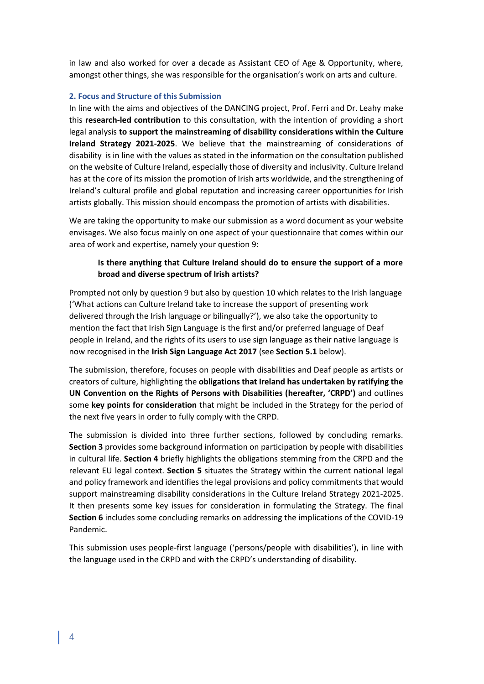in law and also worked for over a decade as Assistant CEO of Age & Opportunity, where, amongst other things, she was responsible for the organisation's work on arts and culture.

#### <span id="page-3-0"></span>**2. Focus and Structure of this Submission**

In line with the aims and objectives of the DANCING project, Prof. Ferri and Dr. Leahy make this **research-led contribution** to this consultation, with the intention of providing a short legal analysis **to support the mainstreaming of disability considerations within the Culture Ireland Strategy 2021-2025**. We believe that the mainstreaming of considerations of disability is in line with the values as stated in the information on the consultation published on the website of Culture Ireland, especially those of diversity and inclusivity. Culture Ireland has at the core of its mission the promotion of Irish arts worldwide, and the strengthening of Ireland's cultural profile and global reputation and increasing career opportunities for Irish artists globally. This mission should encompass the promotion of artists with disabilities.

We are taking the opportunity to make our submission as a word document as your website envisages. We also focus mainly on one aspect of your questionnaire that comes within our area of work and expertise, namely your question 9:

## **Is there anything that Culture Ireland should do to ensure the support of a more broad and diverse spectrum of Irish artists?**

Prompted not only by question 9 but also by question 10 which relates to the Irish language ('What actions can Culture Ireland take to increase the support of presenting work delivered through the Irish language or bilingually?'), we also take the opportunity to mention the fact that Irish Sign Language is the first and/or preferred language of Deaf people in Ireland, and the rights of its users to use sign language as their native language is now recognised in the **Irish Sign Language Act 2017** (see **Section 5.1** below).

The submission, therefore, focuses on people with disabilities and Deaf people as artists or creators of culture, highlighting the **obligations that Ireland has undertaken by ratifying the UN Convention on the Rights of Persons with Disabilities (hereafter, 'CRPD')** and outlines some **key points for consideration** that might be included in the Strategy for the period of the next five years in order to fully comply with the CRPD.

The submission is divided into three further sections, followed by concluding remarks. **Section 3** provides some background information on participation by people with disabilities in cultural life. **Section 4** briefly highlights the obligations stemming from the CRPD and the relevant EU legal context. **Section 5** situates the Strategy within the current national legal and policy framework and identifies the legal provisions and policy commitments that would support mainstreaming disability considerations in the Culture Ireland Strategy 2021-2025. It then presents some key issues for consideration in formulating the Strategy. The final **Section 6** includes some concluding remarks on addressing the implications of the COVID-19 Pandemic.

This submission uses people-first language ('persons/people with disabilities'), in line with the language used in the CRPD and with the CRPD's understanding of disability.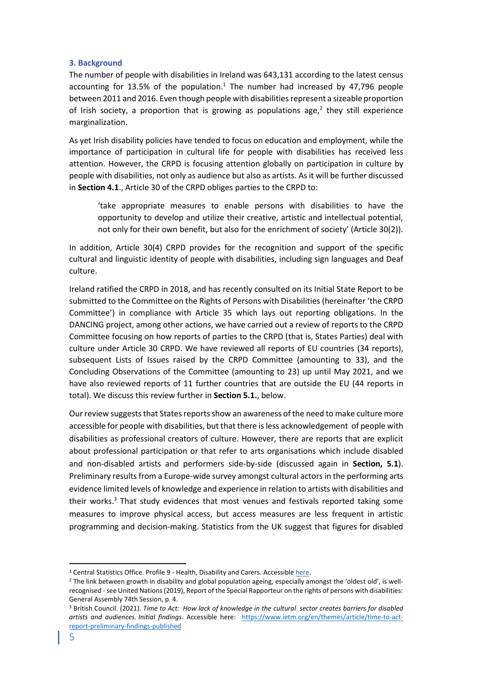#### <span id="page-4-0"></span>**3. Background**

The number of people with disabilities in Ireland was 643,131 according to the latest census accounting for 13.5% of the population.<sup>1</sup> The number had increased by 47,796 people between 2011 and 2016. Even though people with disabilities represent a sizeable proportion of Irish society, a proportion that is growing as populations age,<sup>2</sup> they still experience marginalization.

As yet Irish disability policies have tended to focus on education and employment, while the importance of participation in cultural life for people with disabilities has received less attention. However, the CRPD is focusing attention globally on participation in culture by people with disabilities, not only as audience but also as artists. As it will be further discussed in **Section 4.1**., Article 30 of the CRPD obliges parties to the CRPD to:

'take appropriate measures to enable persons with disabilities to have the opportunity to develop and utilize their creative, artistic and intellectual potential, not only for their own benefit, but also for the enrichment of society' (Article 30(2)).

In addition, Article 30(4) CRPD provides for the recognition and support of the specific cultural and linguistic identity of people with disabilities, including sign languages and Deaf culture.

Ireland ratified the CRPD in 2018, and has recently consulted on its Initial State Report to be submitted to the Committee on the Rights of Persons with Disabilities (hereinafter 'the CRPD Committee') in compliance with Article 35 which lays out reporting obligations. In the DANCING project, among other actions, we have carried out a review of reports to the CRPD Committee focusing on how reports of parties to the CRPD (that is, States Parties) deal with culture under Article 30 CRPD. We have reviewed all reports of EU countries (34 reports), subsequent Lists of Issues raised by the CRPD Committee (amounting to 33), and the Concluding Observations of the Committee (amounting to 23) up until May 2021, and we have also reviewed reports of 11 further countries that are outside the EU (44 reports in total). We discuss this review further in **Section 5.1.**, below.

Our review suggests that States reports show an awareness of the need to make culture more accessible for people with disabilities, but that there is less acknowledgement of people with disabilities as professional creators of culture. However, there are reports that are explicit about professional participation or that refer to arts organisations which include disabled and non-disabled artists and performers side-by-side (discussed again in **Section, 5.1**). Preliminary results from a Europe-wide survey amongst cultural actors in the performing arts evidence limited levels of knowledge and experience in relation to artists with disabilities and their works. <sup>3</sup> That study evidences that most venues and festivals reported taking some measures to improve physical access, but access measures are less frequent in artistic programming and decision-making. Statistics from the UK suggest that figures for disabled

<sup>&</sup>lt;sup>1</sup> Central Statistics Office. Profile 9 - Health, Disability and Carers. Accessible [here.](https://www.cso.ie/en/csolatestnews/pressreleases/2017pressreleases/pressstatementcensus2016resultsprofile9-healthdisabilityandcarers/)

<sup>&</sup>lt;sup>2</sup> The link between growth in disability and global population ageing, especially amongst the 'oldest old', is wellrecognised -see United Nations (2019), Report of the Special Rapporteur on the rights of persons with disabilities: General Assembly 74th Session, p. 4.

<sup>3</sup> British Council. (2021). *Time to Act: How lack of knowledge in the cultural sector creates barriers for disabled artists and audiences. Initial findings*. Accessible here: [https://www.ietm.org/en/themes/article/time-to-act](https://www.ietm.org/en/themes/article/time-to-act-report-preliminary-findings-published)[report-preliminary-findings-published](https://www.ietm.org/en/themes/article/time-to-act-report-preliminary-findings-published)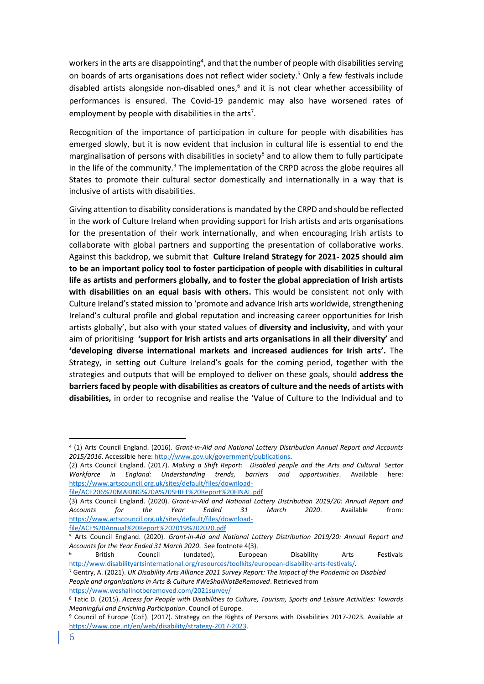workers in the arts are disappointing<sup>4</sup>, and that the number of people with disabilities serving on boards of arts organisations does not reflect wider society. <sup>5</sup> Only a few festivals include disabled artists alongside non-disabled ones, $6$  and it is not clear whether accessibility of performances is ensured. The Covid-19 pandemic may also have worsened rates of employment by people with disabilities in the arts<sup>7</sup>.

Recognition of the importance of participation in culture for people with disabilities has emerged slowly, but it is now evident that inclusion in cultural life is essential to end the marginalisation of persons with disabilities in society<sup>8</sup> and to allow them to fully participate in the life of the community. $9$  The implementation of the CRPD across the globe requires all States to promote their cultural sector domestically and internationally in a way that is inclusive of artists with disabilities.

Giving attention to disability considerations is mandated by the CRPD and should be reflected in the work of Culture Ireland when providing support for Irish artists and arts organisations for the presentation of their work internationally, and when encouraging Irish artists to collaborate with global partners and supporting the presentation of collaborative works. Against this backdrop, we submit that **Culture Ireland Strategy for 2021- 2025 should aim to be an important policy tool to foster participation of people with disabilities in cultural life as artists and performers globally, and to foster the global appreciation of Irish artists with disabilities on an equal basis with others.** This would be consistent not only with Culture Ireland's stated mission to 'promote and advance Irish arts worldwide, strengthening Ireland's cultural profile and global reputation and increasing career opportunities for Irish artists globally', but also with your stated values of **diversity and inclusivity,** and with your aim of prioritising **'support for Irish artists and arts organisations in all their diversity'** and **'developing diverse international markets and increased audiences for Irish arts'.** The Strategy, in setting out Culture Ireland's goals for the coming period, together with the strategies and outputs that will be employed to deliver on these goals, should **address the barriers faced by people with disabilities as creators of culture and the needs of artists with disabilities,** in order to recognise and realise the 'Value of Culture to the Individual and to

[file/ACE%20Annual%20Report%202019%202020.pdf](https://www.artscouncil.org.uk/sites/default/files/download-file/ACE%20Annual%20Report%202019%202020.pdf)

<sup>4</sup> (1) Arts Council England. (2016). *Grant-in-Aid and National Lottery Distribution Annual Report and Accounts 2015/2016*. Accessible here[: http://www.gov.uk/government/publications.](http://www.gov.uk/government/publications)

<sup>(2)</sup> Arts Council England. (2017). *Making a Shift Report: Disabled people and the Arts and Cultural Sector Workforce in England: Understanding trends, barriers and opportunities*. Available here: [https://www.artscouncil.org.uk/sites/default/files/download-](https://www.artscouncil.org.uk/sites/default/files/download-file/ACE206%20MAKING%20A%20SHIFT%20Report%20FINAL.pdf)

[file/ACE206%20MAKING%20A%20SHIFT%20Report%20FINAL.pdf](https://www.artscouncil.org.uk/sites/default/files/download-file/ACE206%20MAKING%20A%20SHIFT%20Report%20FINAL.pdf)

<sup>(3)</sup> Arts Council England. (2020). *Grant-in-Aid and National Lottery Distribution 2019/20: Annual Report and Accounts for the Year Ended 31 March 2020*. Available from: [https://www.artscouncil.org.uk/sites/default/files/download-](https://www.artscouncil.org.uk/sites/default/files/download-file/ACE%20Annual%20Report%202019%202020.pdf)

<sup>5</sup> Arts Council England. (2020). *Grant-in-Aid and National Lottery Distribution 2019/20: Annual Report and Accounts for the Year Ended 31 March 2020*. See footnote 4(3).

<sup>6</sup> British Council (undated), European Disability Arts Festivals [http://www.disabilityartsinternational.org/resources/toolkits/european-disability-arts-festivals/.](http://www.disabilityartsinternational.org/resources/toolkits/european-disability-arts-festivals/) 

<sup>7</sup> Gentry, A. (2021). *UK Disability Arts Alliance 2021 Survey Report: The Impact of the Pandemic on Disabled People and organisations in Arts & Culture #WeShallNotBeRemoved*. Retrieved from <https://www.weshallnotberemoved.com/2021survey/>

<sup>8</sup> Tatic D. (2015). *Access for People with Disabilities to Culture, Tourism, Sports and Leisure Activities: Towards Meaningful and Enriching Participation*. Council of Europe.

<sup>9</sup> Council of Europe (CoE). (2017). Strategy on the Rights of Persons with Disabilities 2017-2023. Available at [https://www.coe.int/en/web/disability/strategy-2017-2023.](https://www.coe.int/en/web/disability/strategy-2017-2023)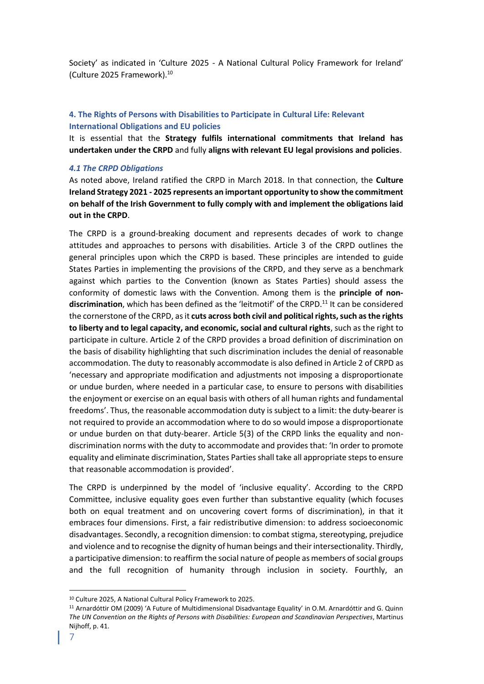Society' as indicated in 'Culture 2025 - A National Cultural Policy Framework for Ireland' (Culture 2025 Framework).<sup>10</sup>

## <span id="page-6-0"></span>**4. The Rights of Persons with Disabilities to Participate in Cultural Life: Relevant International Obligations and EU policies**

It is essential that the **Strategy fulfils international commitments that Ireland has undertaken under the CRPD** and fully **aligns with relevant EU legal provisions and policies**.

#### <span id="page-6-1"></span>*4.1 The CRPD Obligations*

As noted above, Ireland ratified the CRPD in March 2018. In that connection, the **Culture Ireland Strategy 2021 - 2025 represents an important opportunity to show the commitment on behalf of the Irish Government to fully comply with and implement the obligations laid out in the CRPD**.

The CRPD is a ground-breaking document and represents decades of work to change attitudes and approaches to persons with disabilities. Article 3 of the CRPD outlines the general principles upon which the CRPD is based. These principles are intended to guide States Parties in implementing the provisions of the CRPD, and they serve as a benchmark against which parties to the Convention (known as States Parties) should assess the conformity of domestic laws with the Convention. Among them is the **principle of nondiscrimination**, which has been defined as the 'leitmotif' of the CRPD.<sup>11</sup> It can be considered the cornerstone of the CRPD, as it **cuts across both civil and political rights, such as the rights to liberty and to legal capacity, and economic, social and cultural rights**, such as the right to participate in culture. Article 2 of the CRPD provides a broad definition of discrimination on the basis of disability highlighting that such discrimination includes the denial of reasonable accommodation. The duty to reasonably accommodate is also defined in Article 2 of CRPD as 'necessary and appropriate modification and adjustments not imposing a disproportionate or undue burden, where needed in a particular case, to ensure to persons with disabilities the enjoyment or exercise on an equal basis with others of all human rights and fundamental freedoms'. Thus, the reasonable accommodation duty is subject to a limit: the duty-bearer is not required to provide an accommodation where to do so would impose a disproportionate or undue burden on that duty-bearer. Article 5(3) of the CRPD links the equality and nondiscrimination norms with the duty to accommodate and provides that: 'In order to promote equality and eliminate discrimination, States Parties shall take all appropriate steps to ensure that reasonable accommodation is provided'.

The CRPD is underpinned by the model of 'inclusive equality'. According to the CRPD Committee, inclusive equality goes even further than substantive equality (which focuses both on equal treatment and on uncovering covert forms of discrimination), in that it embraces four dimensions. First, a fair redistributive dimension: to address socioeconomic disadvantages. Secondly, a recognition dimension: to combat stigma, stereotyping, prejudice and violence and to recognise the dignity of human beings and their intersectionality. Thirdly, a participative dimension: to reaffirm the social nature of people as members of social groups and the full recognition of humanity through inclusion in society. Fourthly, an

<sup>10</sup> Culture 2025, A National Cultural Policy Framework to 2025.

<sup>11</sup> Arnardóttir OM (2009) 'A Future of Multidimensional Disadvantage Equality' in O*.*M. Arnardóttir and G. Quinn *The UN Convention on the Rights of Persons with Disabilities: European and Scandinavian Perspectives*, Martinus Nijhoff, p. 41.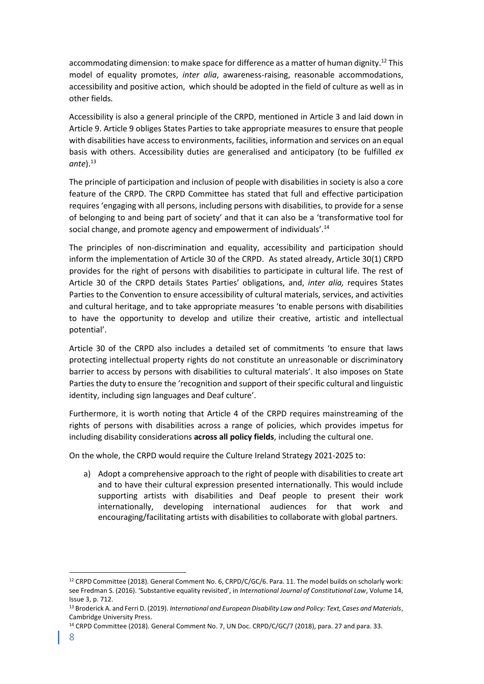accommodating dimension: to make space for difference as a matter of human dignity.<sup>12</sup> This model of equality promotes, *inter alia*, awareness-raising, reasonable accommodations, accessibility and positive action, which should be adopted in the field of culture as well as in other fields.

Accessibility is also a general principle of the CRPD, mentioned in Article 3 and laid down in Article 9. Article 9 obliges States Parties to take appropriate measures to ensure that people with disabilities have access to environments, facilities, information and services on an equal basis with others. Accessibility duties are generalised and anticipatory (to be fulfilled *ex*  ante).<sup>13</sup>

The principle of participation and inclusion of people with disabilities in society is also a core feature of the CRPD. The CRPD Committee has stated that full and effective participation requires 'engaging with all persons, including persons with disabilities, to provide for a sense of belonging to and being part of society' and that it can also be a 'transformative tool for social change, and promote agency and empowerment of individuals'.<sup>14</sup>

The principles of non-discrimination and equality, accessibility and participation should inform the implementation of Article 30 of the CRPD. As stated already, Article 30(1) CRPD provides for the right of persons with disabilities to participate in cultural life. The rest of Article 30 of the CRPD details States Parties' obligations, and, *inter alia,* requires States Parties to the Convention to ensure accessibility of cultural materials, services, and activities and cultural heritage, and to take appropriate measures 'to enable persons with disabilities to have the opportunity to develop and utilize their creative, artistic and intellectual potential'.

Article 30 of the CRPD also includes a detailed set of commitments 'to ensure that laws protecting intellectual property rights do not constitute an unreasonable or discriminatory barrier to access by persons with disabilities to cultural materials'. It also imposes on State Parties the duty to ensure the 'recognition and support of their specific cultural and linguistic identity, including sign languages and Deaf culture'.

Furthermore, it is worth noting that Article 4 of the CRPD requires mainstreaming of the rights of persons with disabilities across a range of policies, which provides impetus for including disability considerations **across all policy fields**, including the cultural one.

On the whole, the CRPD would require the Culture Ireland Strategy 2021-2025 to:

a) Adopt a comprehensive approach to the right of people with disabilities to create art and to have their cultural expression presented internationally. This would include supporting artists with disabilities and Deaf people to present their work internationally, developing international audiences for that work and encouraging/facilitating artists with disabilities to collaborate with global partners.

<sup>&</sup>lt;sup>12</sup> CRPD Committee (2018). General Comment No. 6, CRPD/C/GC/6. Para. 11. The model builds on scholarly work: see Fredman S. (2016). 'Substantive equality revisited', in *International Journal of Constitutional Law*, Volume 14, Issue 3, p. 712.

<sup>13</sup> Broderick A. and Ferri D. (2019). *International and European Disability Law and Policy: Text, Cases and Materials*, Cambridge University Press.

<sup>&</sup>lt;sup>14</sup> CRPD Committee (2018). General Comment No. 7, UN Doc. CRPD/C/GC/7 (2018), para. 27 and para. 33.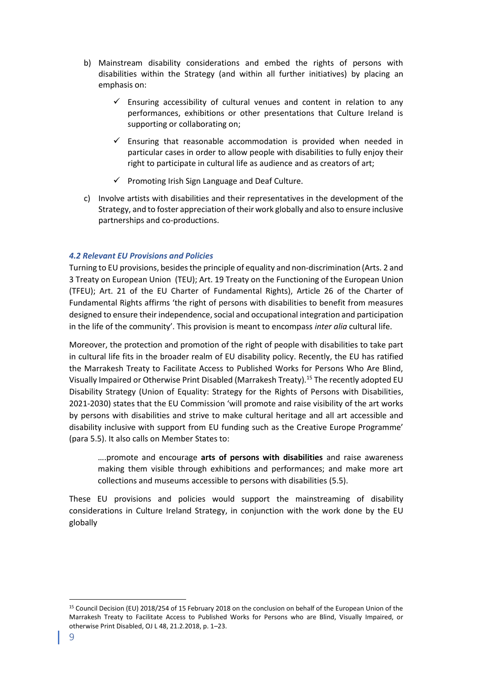- b) Mainstream disability considerations and embed the rights of persons with disabilities within the Strategy (and within all further initiatives) by placing an emphasis on:
	- $\checkmark$  Ensuring accessibility of cultural venues and content in relation to any performances, exhibitions or other presentations that Culture Ireland is supporting or collaborating on;
	- $\checkmark$  Ensuring that reasonable accommodation is provided when needed in particular cases in order to allow people with disabilities to fully enjoy their right to participate in cultural life as audience and as creators of art;
	- $\checkmark$  Promoting Irish Sign Language and Deaf Culture.
- c) Involve artists with disabilities and their representatives in the development of the Strategy, and to foster appreciation of their work globally and also to ensure inclusive partnerships and co-productions.

## <span id="page-8-0"></span>*4.2 Relevant EU Provisions and Policies*

Turning to EU provisions, besides the principle of equality and non-discrimination (Arts. 2 and 3 Treaty on European Union (TEU); Art. 19 Treaty on the Functioning of the European Union (TFEU); Art. 21 of the EU Charter of Fundamental Rights), Article 26 of the Charter of Fundamental Rights affirms 'the right of persons with disabilities to benefit from measures designed to ensure their independence, social and occupational integration and participation in the life of the community'. This provision is meant to encompass *inter alia* cultural life.

Moreover, the protection and promotion of the right of people with disabilities to take part in cultural life fits in the broader realm of EU disability policy. Recently, the EU has ratified the Marrakesh Treaty to Facilitate Access to Published Works for Persons Who Are Blind, Visually Impaired or Otherwise Print Disabled (Marrakesh Treaty).<sup>15</sup> The recently adopted EU Disability Strategy (Union of Equality: Strategy for the Rights of Persons with Disabilities, 2021-2030) states that the EU Commission 'will promote and raise visibility of the art works by persons with disabilities and strive to make cultural heritage and all art accessible and disability inclusive with support from EU funding such as the Creative Europe Programme' (para 5.5). It also calls on Member States to:

….promote and encourage **arts of persons with disabilities** and raise awareness making them visible through exhibitions and performances; and make more art collections and museums accessible to persons with disabilities (5.5).

These EU provisions and policies would support the mainstreaming of disability considerations in Culture Ireland Strategy, in conjunction with the work done by the EU globally

<sup>15</sup> Council Decision (EU) 2018/254 of 15 February 2018 on the conclusion on behalf of the European Union of the Marrakesh Treaty to Facilitate Access to Published Works for Persons who are Blind, Visually Impaired, or otherwise Print Disabled, OJ L 48, 21.2.2018, p. 1–23.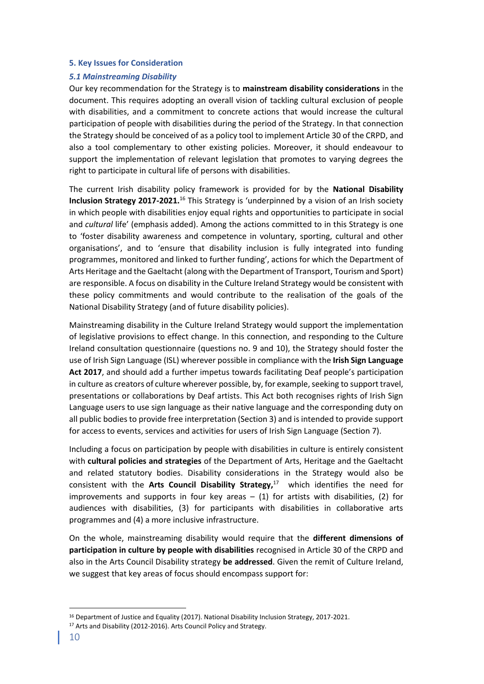#### <span id="page-9-0"></span>**5. Key Issues for Consideration**

#### <span id="page-9-1"></span>*5.1 Mainstreaming Disability*

Our key recommendation for the Strategy is to **mainstream disability considerations** in the document. This requires adopting an overall vision of tackling cultural exclusion of people with disabilities, and a commitment to concrete actions that would increase the cultural participation of people with disabilities during the period of the Strategy. In that connection the Strategy should be conceived of as a policy tool to implement Article 30 of the CRPD, and also a tool complementary to other existing policies. Moreover, it should endeavour to support the implementation of relevant legislation that promotes to varying degrees the right to participate in cultural life of persons with disabilities.

The current Irish disability policy framework is provided for by the **National Disability Inclusion Strategy 2017-2021.**<sup>16</sup> This Strategy is 'underpinned by a vision of an Irish society in which people with disabilities enjoy equal rights and opportunities to participate in social and *cultural* life' (emphasis added). Among the actions committed to in this Strategy is one to 'foster disability awareness and competence in voluntary, sporting, cultural and other organisations', and to 'ensure that disability inclusion is fully integrated into funding programmes, monitored and linked to further funding', actions for which the Department of Arts Heritage and the Gaeltacht (along with the Department of Transport, Tourism and Sport) are responsible. A focus on disability in the Culture Ireland Strategy would be consistent with these policy commitments and would contribute to the realisation of the goals of the National Disability Strategy (and of future disability policies).

Mainstreaming disability in the Culture Ireland Strategy would support the implementation of legislative provisions to effect change. In this connection, and responding to the Culture Ireland consultation questionnaire (questions no. 9 and 10), the Strategy should foster the use of Irish Sign Language (ISL) wherever possible in compliance with the **Irish Sign Language Act 2017**, and should add a further impetus towards facilitating Deaf people's participation in culture as creators of culture wherever possible, by, for example, seeking to support travel, presentations or collaborations by Deaf artists. This Act both recognises rights of Irish Sign Language users to use sign language as their native language and the corresponding duty on all public bodies to provide free interpretation (Section 3) and is intended to provide support for access to events, services and activities for users of Irish Sign Language (Section 7).

Including a focus on participation by people with disabilities in culture is entirely consistent with **cultural policies and strategies** of the Department of Arts, Heritage and the Gaeltacht and related statutory bodies. Disability considerations in the Strategy would also be consistent with the **Arts Council Disability Strategy,**<sup>17</sup> which identifies the need for improvements and supports in four key areas  $-$  (1) for artists with disabilities, (2) for audiences with disabilities, (3) for participants with disabilities in collaborative arts programmes and (4) a more inclusive infrastructure.

On the whole, mainstreaming disability would require that the **different dimensions of participation in culture by people with disabilities** recognised in Article 30 of the CRPD and also in the Arts Council Disability strategy **be addressed**. Given the remit of Culture Ireland, we suggest that key areas of focus should encompass support for:

<sup>16</sup> Department of Justice and Equality (2017). National Disability Inclusion Strategy, 2017-2021.

<sup>&</sup>lt;sup>17</sup> Arts and Disability (2012-2016). Arts Council Policy and Strategy.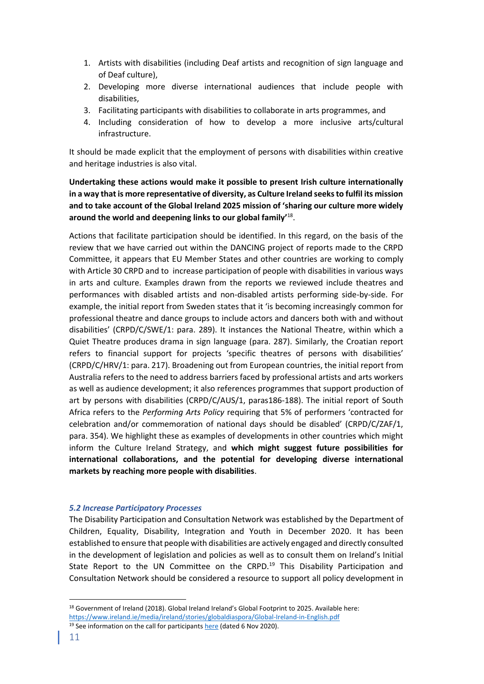- 1. Artists with disabilities (including Deaf artists and recognition of sign language and of Deaf culture),
- 2. Developing more diverse international audiences that include people with disabilities,
- 3. Facilitating participants with disabilities to collaborate in arts programmes, and
- 4. Including consideration of how to develop a more inclusive arts/cultural infrastructure.

It should be made explicit that the employment of persons with disabilities within creative and heritage industries is also vital.

## **Undertaking these actions would make it possible to present Irish culture internationally in a way that is more representative of diversity, as Culture Ireland seeks to fulfil its mission and to take account of the Global Ireland 2025 mission of 'sharing our culture more widely around the world and deepening links to our global family'**<sup>18</sup> .

Actions that facilitate participation should be identified. In this regard, on the basis of the review that we have carried out within the DANCING project of reports made to the CRPD Committee, it appears that EU Member States and other countries are working to comply with Article 30 CRPD and to increase participation of people with disabilities in various ways in arts and culture. Examples drawn from the reports we reviewed include theatres and performances with disabled artists and non-disabled artists performing side-by-side. For example, the initial report from Sweden states that it 'is becoming increasingly common for professional theatre and dance groups to include actors and dancers both with and without disabilities' (CRPD/C/SWE/1: para. 289). It instances the National Theatre, within which a Quiet Theatre produces drama in sign language (para. 287). Similarly, the Croatian report refers to financial support for projects 'specific theatres of persons with disabilities' (CRPD/C/HRV/1: para. 217). Broadening out from European countries, the initial report from Australia refers to the need to address barriers faced by professional artists and arts workers as well as audience development; it also references programmes that support production of art by persons with disabilities (CRPD/C/AUS/1, paras186-188). The initial report of South Africa refers to the *Performing Arts Policy* requiring that 5% of performers 'contracted for celebration and/or commemoration of national days should be disabled' (CRPD/C/ZAF/1, para. 354). We highlight these as examples of developments in other countries which might inform the Culture Ireland Strategy, and **which might suggest future possibilities for international collaborations, and the potential for developing diverse international markets by reaching more people with disabilities**.

## <span id="page-10-0"></span>*5.2 Increase Participatory Processes*

The Disability Participation and Consultation Network was established by the Department of Children, Equality, Disability, Integration and Youth in December 2020. It has been established to ensure that people with disabilities are actively engaged and directly consulted in the development of legislation and policies as well as to consult them on Ireland's Initial State Report to the UN Committee on the CRPD.<sup>19</sup> This Disability Participation and Consultation Network should be considered a resource to support all policy development in

<sup>18</sup> Government of Ireland (2018). Global Ireland Ireland's Global Footprint to 2025. Available here: <https://www.ireland.ie/media/ireland/stories/globaldiaspora/Global-Ireland-in-English.pdf>

<sup>&</sup>lt;sup>19</sup> See information on the call for participants [here](https://www.gov.ie/en/press-release/b1b47-launch-of-expressions-of-interest-to-join-irelands-disability-participation-and-consultation-network/) (dated 6 Nov 2020).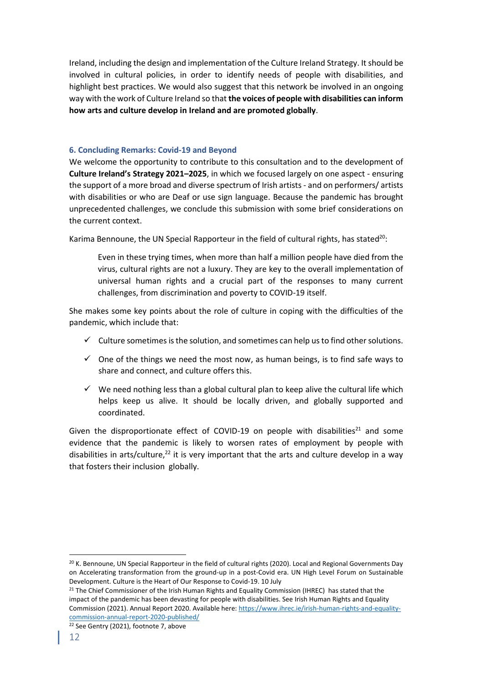Ireland, including the design and implementation of the Culture Ireland Strategy. It should be involved in cultural policies, in order to identify needs of people with disabilities, and highlight best practices. We would also suggest that this network be involved in an ongoing way with the work of Culture Ireland so that **the voices of people with disabilities can inform how arts and culture develop in Ireland and are promoted globally**.

## <span id="page-11-0"></span>**6. Concluding Remarks: Covid-19 and Beyond**

We welcome the opportunity to contribute to this consultation and to the development of **Culture Ireland's Strategy 2021–2025**, in which we focused largely on one aspect - ensuring the support of a more broad and diverse spectrum of Irish artists - and on performers/ artists with disabilities or who are Deaf or use sign language. Because the pandemic has brought unprecedented challenges, we conclude this submission with some brief considerations on the current context.

Karima Bennoune, the UN Special Rapporteur in the field of cultural rights, has stated<sup>20</sup>:

Even in these trying times, when more than half a million people have died from the virus, cultural rights are not a luxury. They are key to the overall implementation of universal human rights and a crucial part of the responses to many current challenges, from discrimination and poverty to COVID-19 itself.

She makes some key points about the role of culture in coping with the difficulties of the pandemic, which include that:

- $\checkmark$  Culture sometimes is the solution, and sometimes can help us to find other solutions.
- $\checkmark$  One of the things we need the most now, as human beings, is to find safe ways to share and connect, and culture offers this.
- $\checkmark$  We need nothing less than a global cultural plan to keep alive the cultural life which helps keep us alive. It should be locally driven, and globally supported and coordinated.

Given the disproportionate effect of COVID-19 on people with disabilities<sup>21</sup> and some evidence that the pandemic is likely to worsen rates of employment by people with disabilities in arts/culture,<sup>22</sup> it is very important that the arts and culture develop in a way that fosters their inclusion globally.

<sup>&</sup>lt;sup>20</sup> K. Bennoune, UN Special Rapporteur in the field of cultural rights (2020). Local and Regional Governments Day on Accelerating transformation from the ground-up in a post-Covid era. UN High Level Forum on Sustainable Development. Culture is the Heart of Our Response to Covid-19. 10 July

<sup>&</sup>lt;sup>21</sup> The Chief Commissioner of the Irish Human Rights and Equality Commission (IHREC) has stated that the impact of the pandemic has been devasting for people with disabilities. See Irish Human Rights and Equality Commission (2021). Annual Report 2020. Available here: https://www.ihrec.ie/irish-human-rights-and-equalitycommission-annual-report-2020-published/

<sup>&</sup>lt;sup>22</sup> See Gentry (2021), footnote 7, above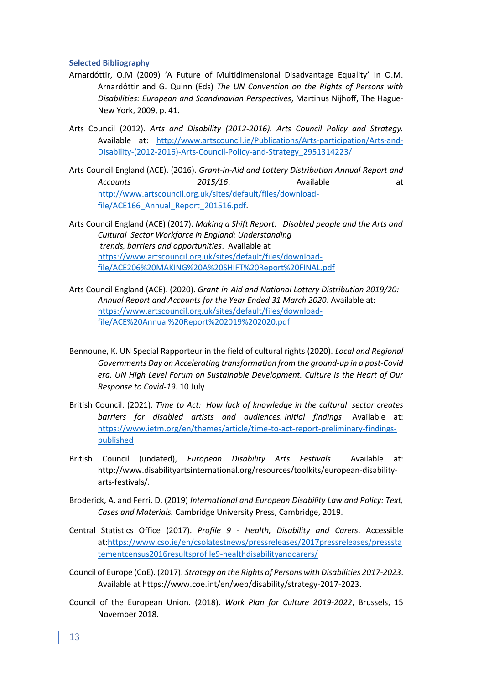#### <span id="page-12-0"></span>**Selected Bibliography**

- Arnardóttir, O.M (2009) 'A Future of Multidimensional Disadvantage Equality' In O.M. Arnardóttir and G. Quinn (Eds) *The UN Convention on the Rights of Persons with Disabilities: European and Scandinavian Perspectives*, Martinus Nijhoff, The Hague-New York, 2009, p. 41.
- Arts Council (2012). *Arts and Disability (2012-2016). Arts Council Policy and Strategy.* Available at: http://www.artscouncil.ie/Publications/Arts-participation/Arts-and-Disability-(2012-2016)-Arts-Council-Policy-and-Strategy\_2951314223/
- Arts Council England (ACE). (2016). *Grant-in-Aid and Lottery Distribution Annual Report and*  Accounts **2015/16**. Available at http://www.artscouncil.org.uk/sites/default/files/downloadfile/ACE166 Annual Report 201516.pdf.
- Arts Council England (ACE) (2017). *Making a Shift Report: Disabled people and the Arts and Cultural Sector Workforce in England: Understanding trends, barriers and opportunities*. Available at https://www.artscouncil.org.uk/sites/default/files/downloadfile/ACE206%20MAKING%20A%20SHIFT%20Report%20FINAL.pdf
- Arts Council England (ACE). (2020). *Grant-in-Aid and National Lottery Distribution 2019/20: Annual Report and Accounts for the Year Ended 31 March 2020*. Available at: https://www.artscouncil.org.uk/sites/default/files/downloadfile/ACE%20Annual%20Report%202019%202020.pdf
- Bennoune, K. UN Special Rapporteur in the field of cultural rights (2020). *Local and Regional Governments Day on Accelerating transformation from the ground-up in a post-Covid era. UN High Level Forum on Sustainable Development. Culture is the Heart of Our Response to Covid-19.* 10 July
- British Council. (2021). *Time to Act: How lack of knowledge in the cultural sector creates barriers for disabled artists and audiences. Initial findings*. Available at: https://www.ietm.org/en/themes/article/time-to-act-report-preliminary-findingspublished
- British Council (undated), *European Disability Arts Festivals* Available at: http://www.disabilityartsinternational.org/resources/toolkits/european-disabilityarts-festivals/.
- Broderick, A. and Ferri, D. (2019) *International and European Disability Law and Policy: Text, Cases and Materials.* Cambridge University Press, Cambridge, 2019.
- Central Statistics Office (2017). *Profile 9 - Health, Disability and Carers*. Accessible at:https://www.cso.ie/en/csolatestnews/pressreleases/2017pressreleases/presssta tementcensus2016resultsprofile9-healthdisabilityandcarers/
- Council of Europe (CoE). (2017). *Strategy on the Rights of Persons with Disabilities 2017-2023*. Available at https://www.coe.int/en/web/disability/strategy-2017-2023.
- Council of the European Union. (2018). *Work Plan for Culture 2019-2022*, Brussels, 15 November 2018.